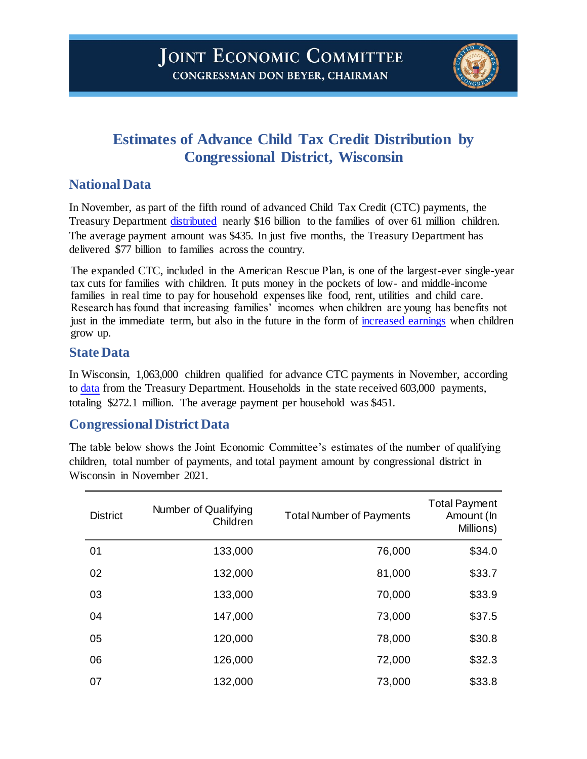

# **Estimates of Advance Child Tax Credit Distribution by Congressional District, Wisconsin**

## **National Data**

In November, as part of the fifth round of advanced Child Tax Credit (CTC) payments, the Treasury Department [distributed](https://home.treasury.gov/system/files/131/Advance-CTC-Payments-Disbursed-November-2021-by-State-11162021.pdf) nearly \$16 billion to the families of over 61 million children. The average payment amount was \$435. In just five months, the Treasury Department has delivered \$77 billion to families across the country.

The expanded CTC, included in the American Rescue Plan, is one of the largest-ever single-year tax cuts for families with children. It puts money in the pockets of low- and middle-income families in real time to pay for household expenses like food, rent, utilities and child care. Research has found that increasing families' incomes when children are young has benefits not just in the immediate term, but also in the future in the form of [increased earnings](https://www.jstor.org/stable/40598980?seq=1#metadata_info_tab_contents) when children grow up.

#### **State Data**

In Wisconsin, 1,063,000 children qualified for advance CTC payments in November, according to [data](https://home.treasury.gov/news/press-releases/jy0411) from the Treasury Department. Households in the state received 603,000 payments, totaling \$272.1 million. The average payment per household was \$451.

## **Congressional District Data**

The table below shows the Joint Economic Committee's estimates of the number of qualifying children, total number of payments, and total payment amount by congressional district in Wisconsin in November 2021.

| <b>District</b> | Number of Qualifying<br>Children | <b>Total Number of Payments</b> | <b>Total Payment</b><br>Amount (In<br>Millions) |
|-----------------|----------------------------------|---------------------------------|-------------------------------------------------|
| 01              | 133,000                          | 76,000                          | \$34.0                                          |
| 02              | 132,000                          | 81,000                          | \$33.7                                          |
| 03              | 133,000                          | 70,000                          | \$33.9                                          |
| 04              | 147,000                          | 73,000                          | \$37.5                                          |
| 05              | 120,000                          | 78,000                          | \$30.8                                          |
| 06              | 126,000                          | 72,000                          | \$32.3                                          |
| 07              | 132,000                          | 73,000                          | \$33.8                                          |